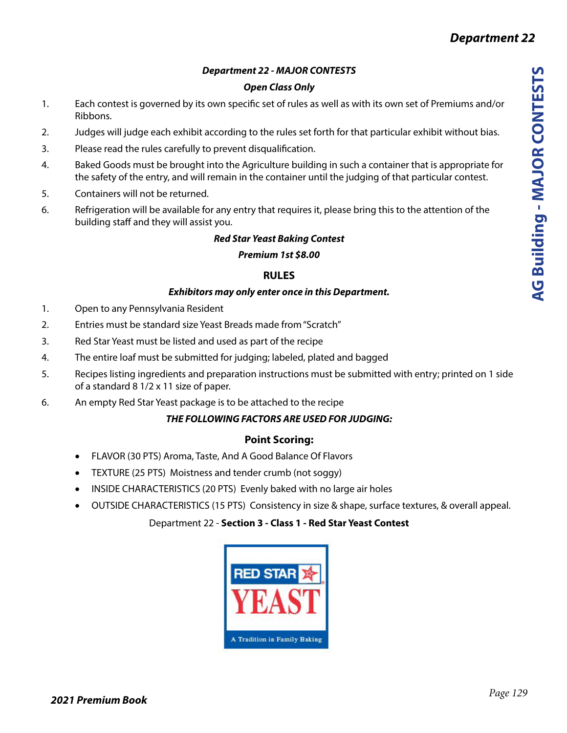## *Department 22 - MAJOR CONTESTS*

## *Open Class Only*

- 1. Each contest is governed by its own specific set of rules as well as with its own set of Premiums and/or Ribbons.
- 2. Judges will judge each exhibit according to the rules set forth for that particular exhibit without bias.
- 3. Please read the rules carefully to prevent disqualification.
- 4. Baked Goods must be brought into the Agriculture building in such a container that is appropriate for the safety of the entry, and will remain in the container until the judging of that particular contest.
- 5. Containers will not be returned.
- 6. Refrigeration will be available for any entry that requires it, please bring this to the attention of the building staff and they will assist you.

## *Red Star Yeast Baking Contest*

#### *Premium 1st \$8.00*

## **RULES**

#### *Exhibitors may only enter once in this Department.*

- 1. Open to any Pennsylvania Resident
- 2. Entries must be standard size Yeast Breads made from "Scratch"
- 3. Red Star Yeast must be listed and used as part of the recipe
- 4. The entire loaf must be submitted for judging; labeled, plated and bagged
- 5. Recipes listing ingredients and preparation instructions must be submitted with entry; printed on 1 side of a standard 8 1/2 x 11 size of paper.
- 6. An empty Red Star Yeast package is to be attached to the recipe

## *THE FOLLOWING FACTORS ARE USED FOR JUDGING:*

## **Point Scoring:**

- FLAVOR (30 PTS) Aroma, Taste, And A Good Balance Of Flavors
- TEXTURE (25 PTS) Moistness and tender crumb (not soggy)
- INSIDE CHARACTERISTICS (20 PTS) Evenly baked with no large air holes
- OUTSIDE CHARACTERISTICS (15 PTS) Consistency in size & shape, surface textures, & overall appeal.

## Department 22 - **Section 3 - Class 1 - Red Star Yeast Contest**

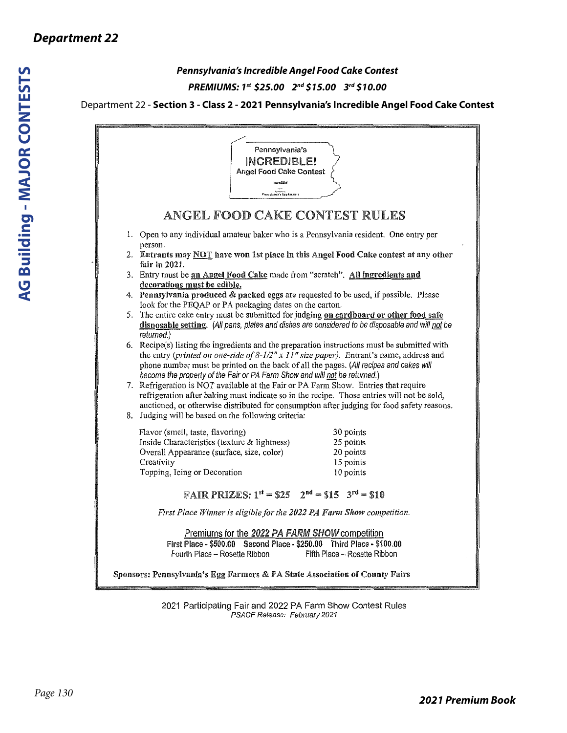## *Pennsylvania's Incredible Angel Food Cake Contest PREMIUMS: 1st \$25.00 2nd \$15.00 3rd \$10.00*

#### Department 22 - **Section 3 - Class 2 - 2021 Pennsylvania's Incredible Angel Food Cake Contest**

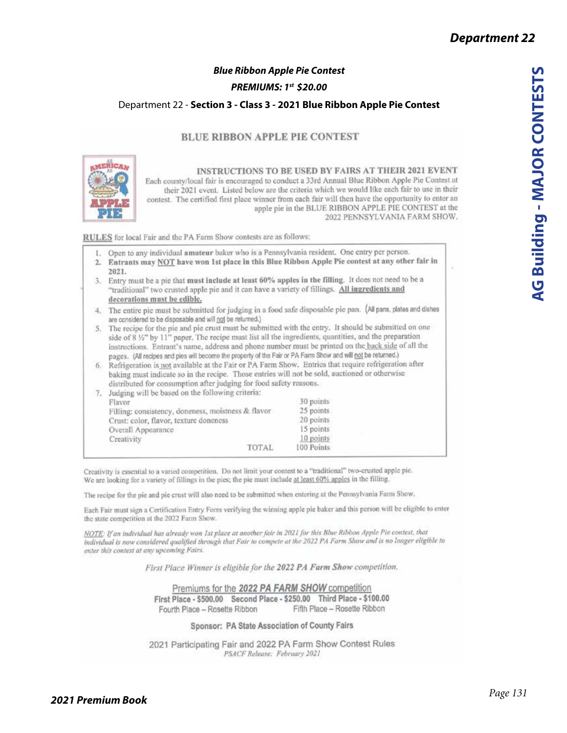## *Blue Ribbon Apple Pie Contest*

#### *PREMIUMS: 1st \$20.00*

#### Department 22 - **Section 3 - Class 3 - 2021 Blue Ribbon Apple Pie Contest**

#### **BLUE RIBBON APPLE PIE CONTEST**



INSTRUCTIONS TO BE USED BY FAIRS AT THEIR 2021 EVENT Each county/local fair is encouraged to conduct a 33rd Annual Blue Ribbon Apple Pie Contest at their 2021 event. Listed below are the criteria which we would like each fair to use in their contest. The certified first place winner from each fair will then have the opportunity to enter an apple pie in the BLUE RIBBON APPLE PIE CONTEST at the 2022 PENNSYLVANIA FARM SHOW.

RULES for local Fair and the PA Farm Show contests are as follows:

1. Open to any individual amateur baker who is a Pennsylvania resident. One entry per person.

- 2. Entrants may NOT have won 1st place in this Blue Ribbon Apple Pie contest at any other fair in 2021.
- 3. Entry must be a pic that must include at least 60% apples in the filling. It does not need to be a "traditional" two crusted apple pie and it can have a variety of fillings. All ingredients and decorations must be edible,
- 4. The entire pie must be submitted for judging in a food safe disposable pie pan. (All pans, plates and dishes are considered to be disposable and will not be returned.)
- 5. The recipe for the pie and pie crust must be submitted with the entry. It should be submitted on one side of 8 1/2" by 11" paper. The recipe must list all the ingredients, quantities, and the preparation instructions. Entrant's name, address and phone number must be printed on the back side of all the pages. (All recipes and pies will become the property of the Fair or PA Farm Show and will not be returned.)
- 6. Refrigeration is not available at the Fair or PA Farm Show. Entries that require refrigeration after baking must indicate so in the recipe. Those entries will not be sold, auctioned or otherwise distributed for consumption after judging for food safety reasons.

|  | Judging will be based on the following criteria:   |            |  |
|--|----------------------------------------------------|------------|--|
|  | Flavor                                             | 30 points  |  |
|  | Filling: consistency, doneness, moistness & flavor | 25 points  |  |
|  | Crust: color, flavor, texture doneness             | 20 points  |  |
|  | Overall Appearance                                 | 15 points  |  |
|  | Creativity                                         | 10 points  |  |
|  | <b>TOTAL</b>                                       | 100 Points |  |

Creativity is essential to a varied competition. Do not limit your contest to a "traditional" two-crusted apple pic. We are looking for a variety of fillings in the pies; the pie must include at least 60% apples in the filling.

The recipe for the pie and pie crust will also need to be submitted when entering at the Pennsylvania Farm Show,

Each Fair must sign a Certification Entry Form verifying the winning apple pie baker and this person will be eligible to enter the state competition at the 2022 Farm Show.

NOTE: If an individual has already won 1st place at another fair in 2021 for this Blue Ribbon Apple Pie contest, that individual is now considered qualified through that Fair to compete at the 2022 PA Farm Show and is no longer eligible to enter this contest at any upcoming Fairs.

First Place Winner is eligible for the 2022 PA Farm Show competition.

Premiums for the 2022 PA FARM SHOW competition First Place - \$500.00 Second Place - \$250.00 Third Place - \$100.00 Fifth Place - Rosette Ribbon Fourth Place - Rosette Ribbon

Sponsor: PA State Association of County Fairs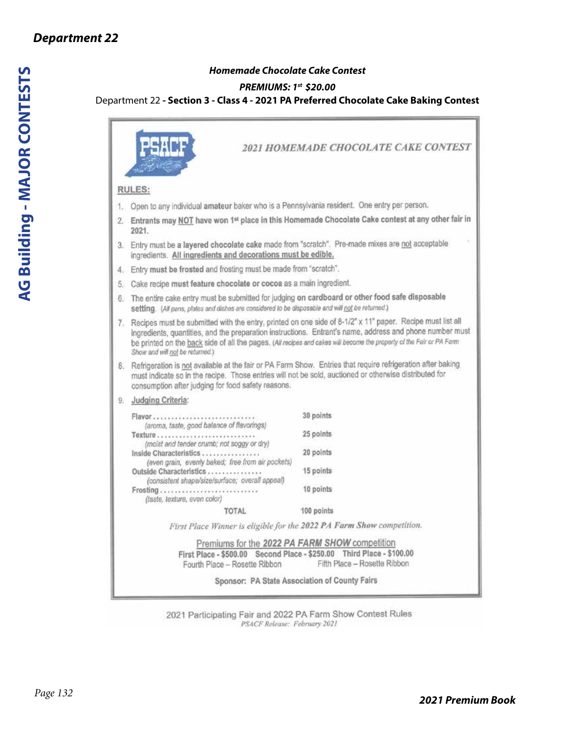## *Homemade Chocolate Cake Contest*

#### *PREMIUMS: 1st \$20.00*

#### Department 22 **- Section 3 - Class 4 - 2021 PA Preferred Chocolate Cake Baking Contest**

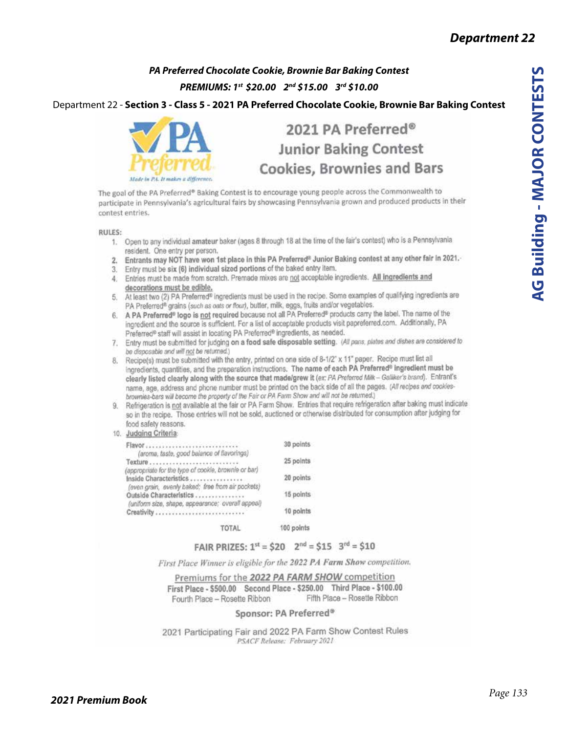## *PA Preferred Chocolate Cookie, Brownie Bar Baking Contest PREMIUMS: 1st \$20.00 2nd \$15.00 3rd \$10.00*

Department 22 - **Section 3 - Class 5 - 2021 PA Preferred Chocolate Cookie, Brownie Bar Baking Contest**



# 2021 PA Preferred® **Junior Baking Contest Cookies, Brownies and Bars**

The goal of the PA Preferred® Baking Contest is to encourage young people across the Commonwealth to participate in Pennsylvania's agricultural fairs by showcasing Pennsylvania grown and produced products in their contest entries.

RULES:

- 1. Open to any individual amateur baker (ages 8 through 18 at the time of the fair's contest) who is a Pennsylvania resident. One entry per person.
- 2. Entrants may NOT have won 1st place in this PA Preferred<sup>®</sup> Junior Baking contest at any other fair in 2021,
- 3. Entry must be six (6) individual sized portions of the baked entry item.
- 4. Entries must be made from scratch. Premade mixes are not acceptable ingredients. All ingredients and decorations must be edible.
- 5. At least two (2) PA Preferred® ingredients must be used in the recipe. Some examples of qualifying ingredients are PA Preferred<sup>®</sup> grains (such as oats or flour), butter, milk, eggs, fruits and/or vegetables.
- 6. A PA Preferred<sup>®</sup> logo is not required because not all PA Preferred® products carry the label. The name of the ingredient and the source is sufficient. For a list of acceptable products visit papreferred.com. Additionally, PA Preferred® staff will assist in locating PA Preferred® ingredients, as needed.
- 7. Entry must be submitted for judging on a food safe disposable setting. (All pans, plates and dishes are considered to be disposable and will not be returned.)
- 8. Recipe(s) must be submitted with the entry, printed on one side of 8-1/2" x 11" paper. Recipe must list all ingredients, quantities, and the preparation instructions. The name of each PA Preferred® ingredient must be clearly listed clearly along with the source that made/grew it (ex: PA Preferred Milk - Galiker's brand). Entrant's name, age, address and phone number must be printed on the back side of all the pages. (All recipes and cookiesbrownies-bars will become the property of the Fair or PA Farm Show and will not be returned.)
- 9. Refrigeration is not available at the fair or PA Farm Show. Entries that require refrigeration after baking must indicate so in the recipe. Those entries will not be sold, auctioned or otherwise distributed for consumption after judging for food safety reasons.
- 10. Judging Criteria:

| Flavor<br>(aroma, taste, good balance of flavorings)                                                                                |              | 30 points  |
|-------------------------------------------------------------------------------------------------------------------------------------|--------------|------------|
|                                                                                                                                     |              | 25 points  |
| (appropriate for the type of cookle, brownle or bar)<br>Inside Characteristics<br>(even grain, evenly baked; free from air pockets) |              | 20 points  |
| Outside Characterístics<br>(uniform size, shape, appearance; overall appeal)                                                        |              | 15 points  |
| Creativity                                                                                                                          |              | 10 points  |
|                                                                                                                                     | <b>TOTAL</b> | 100 points |

#### FAIR PRIZES:  $1^{st}$  = \$20  $2^{nd}$  = \$15  $3^{rd}$  = \$10

First Place Winner is eligible for the 2022 PA Farm Show competition.

Premiums for the 2022 PA FARM SHOW competition First Place - \$500.00 Second Place - \$250.00 Third Place - \$100.00 Fifth Place - Rosette Ribbon Fourth Place - Rosette Ribbon

#### Sponsor: PA Preferred®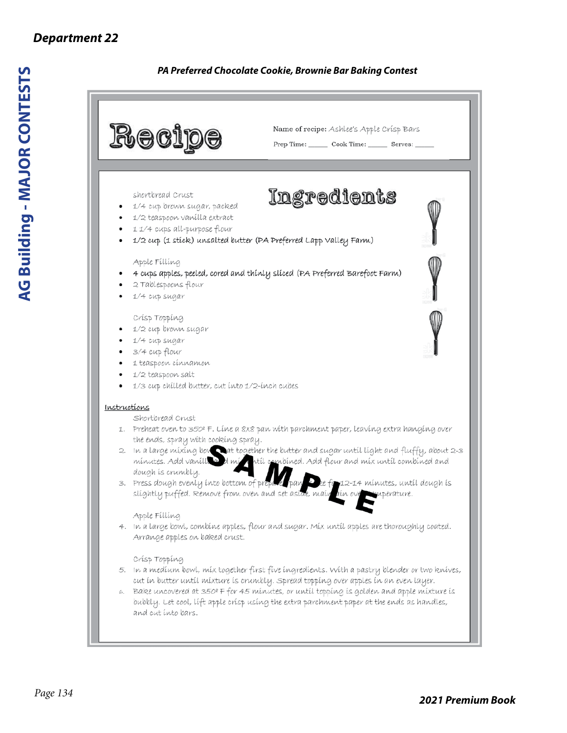## *PA Preferred Chocolate Cookie, Brownie Bar Baking Contest*

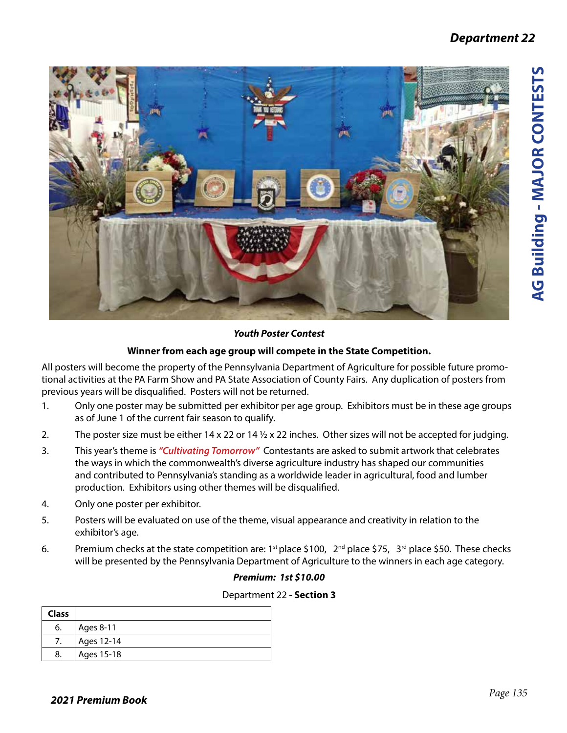

## *Youth Poster Contest*

## **Winner from each age group will compete in the State Competition.**

All posters will become the property of the Pennsylvania Department of Agriculture for possible future promotional activities at the PA Farm Show and PA State Association of County Fairs. Any duplication of posters from previous years will be disqualified. Posters will not be returned.

- 1. Only one poster may be submitted per exhibitor per age group. Exhibitors must be in these age groups as of June 1 of the current fair season to qualify.
- 2. The poster size must be either  $14 \times 22$  or  $14 \frac{1}{2} \times 22$  inches. Other sizes will not be accepted for judging.
- 3. This year's theme is *"Cultivating Tomorrow"* Contestants are asked to submit artwork that celebrates the ways in which the commonwealth's diverse agriculture industry has shaped our communities and contributed to Pennsylvania's standing as a worldwide leader in agricultural, food and lumber production. Exhibitors using other themes will be disqualified.
- 4. Only one poster per exhibitor.
- 5. Posters will be evaluated on use of the theme, visual appearance and creativity in relation to the exhibitor's age.
- 6. Premium checks at the state competition are: 1<sup>st</sup> place \$100,  $2^{nd}$  place \$75, 3<sup>rd</sup> place \$50. These checks will be presented by the Pennsylvania Department of Agriculture to the winners in each age category.

## *Premium: 1st \$10.00*

| <b>Class</b> |            |
|--------------|------------|
| 6.           | Ages 8-11  |
| 7.           | Ages 12-14 |
| 8.           | Ages 15-18 |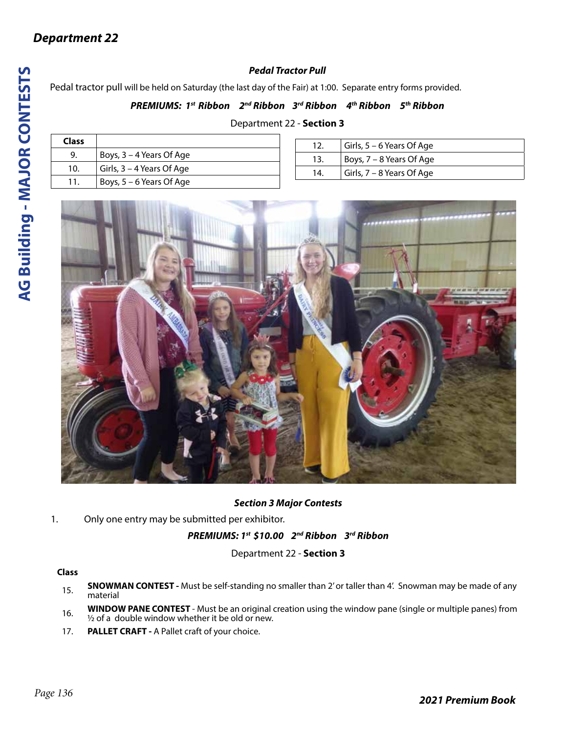## *Pedal Tractor Pull*

Pedal tractor pull will be held on Saturday (the last day of the Fair) at 1:00. Separate entry forms provided.

#### *PREMIUMS: 1st Ribbon 2nd Ribbon 3rd Ribbon 4th Ribbon 5th Ribbon*

#### Department 22 - **Section 3**

| <b>Class</b> |                           |
|--------------|---------------------------|
| 9.           | Boys, 3 – 4 Years Of Age  |
| 10.          | Girls, 3 - 4 Years Of Age |
| 11.          | Boys, 5 – 6 Years Of Age  |

| 12. | Girls, $5 - 6$ Years Of Age |
|-----|-----------------------------|
| 13. | Boys, $7 - 8$ Years Of Age  |
| 14. | Girls, $7 - 8$ Years Of Age |



#### *Section 3 Major Contests*

1. Only one entry may be submitted per exhibitor.

#### *PREMIUMS: 1st \$10.00 2nd Ribbon 3rd Ribbon*

Department 22 - **Section 3**

#### **Class**

- 15. **SNOWMAN CONTEST** Must be self-standing no smaller than 2' or taller than 4'. Snowman may be made of any material
- 16. **WINDOW PANE CONTEST** Must be an original creation using the window pane (single or multiple panes) from  $\frac{1}{2}$  of a double window whether it be old or new.
- 17. **PALLET CRAFT** A Pallet craft of your choice.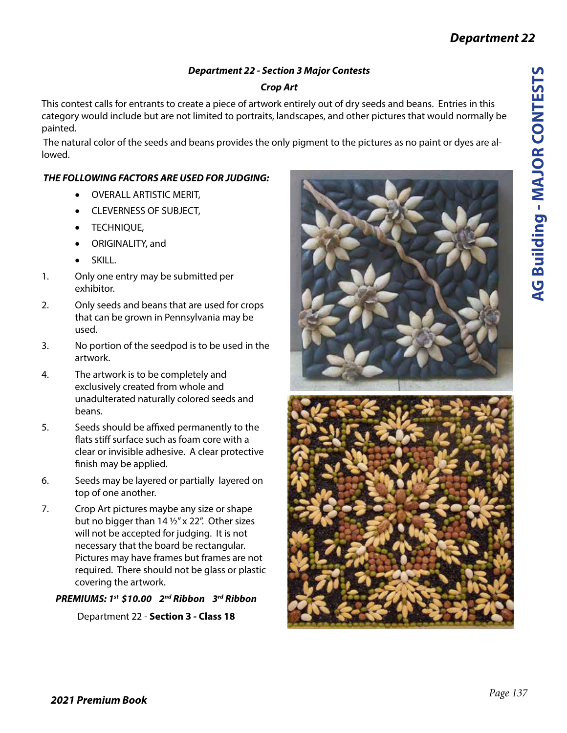## *Department 22 - Section 3 Major Contests*

## *Crop Art*

This contest calls for entrants to create a piece of artwork entirely out of dry seeds and beans. Entries in this category would include but are not limited to portraits, landscapes, and other pictures that would normally be painted.

 The natural color of the seeds and beans provides the only pigment to the pictures as no paint or dyes are allowed.

## *THE FOLLOWING FACTORS ARE USED FOR JUDGING:*

- • OVERALL ARTISTIC MERIT,
- • CLEVERNESS OF SUBJECT,
- **TECHNIOUE,**
- • ORIGINALITY, and
- • SKILL.
- 1. Only one entry may be submitted per exhibitor.
- 2. Only seeds and beans that are used for crops that can be grown in Pennsylvania may be used.
- 3. No portion of the seedpod is to be used in the artwork.
- 4. The artwork is to be completely and exclusively created from whole and unadulterated naturally colored seeds and beans.
- 5. Seeds should be affixed permanently to the flats stiff surface such as foam core with a clear or invisible adhesive. A clear protective finish may be applied.
- 6. Seeds may be layered or partially layered on top of one another.
- 7. Crop Art pictures maybe any size or shape but no bigger than 14 ½" x 22". Other sizes will not be accepted for judging. It is not necessary that the board be rectangular. Pictures may have frames but frames are not required. There should not be glass or plastic covering the artwork.

## *PREMIUMS: 1st \$10.00 2nd Ribbon 3rd Ribbon*

Department 22 - **Section 3 - Class 18**



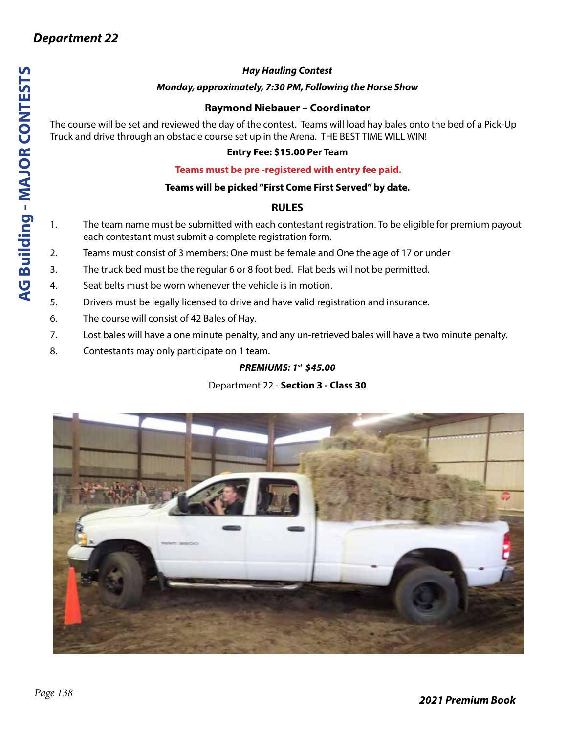## *Hay Hauling Contest*

#### *Monday, approximately, 7:30 PM, Following the Horse Show*

## **Raymond Niebauer – Coordinator**

The course will be set and reviewed the day of the contest. Teams will load hay bales onto the bed of a Pick-Up Truck and drive through an obstacle course set up in the Arena. THE BEST TIME WILL WIN!

#### **Entry Fee: \$15.00 Per Team**

#### **Teams must be pre -registered with entry fee paid.**

#### **Teams will be picked "First Come First Served" by date.**

#### **RULES**

- 1. The team name must be submitted with each contestant registration. To be eligible for premium payout each contestant must submit a complete registration form.
- 2. Teams must consist of 3 members: One must be female and One the age of 17 or under
- 3. The truck bed must be the regular 6 or 8 foot bed. Flat beds will not be permitted.
- 4. Seat belts must be worn whenever the vehicle is in motion.
- 5. Drivers must be legally licensed to drive and have valid registration and insurance.
- 6. The course will consist of 42 Bales of Hay.
- 7. Lost bales will have a one minute penalty, and any un-retrieved bales will have a two minute penalty.
- 8. Contestants may only participate on 1 team.

## *PREMIUMS: 1st \$45.00*

## Department 22 - **Section 3 - Class 30**



**AG Building - MAJOR CONTESTS**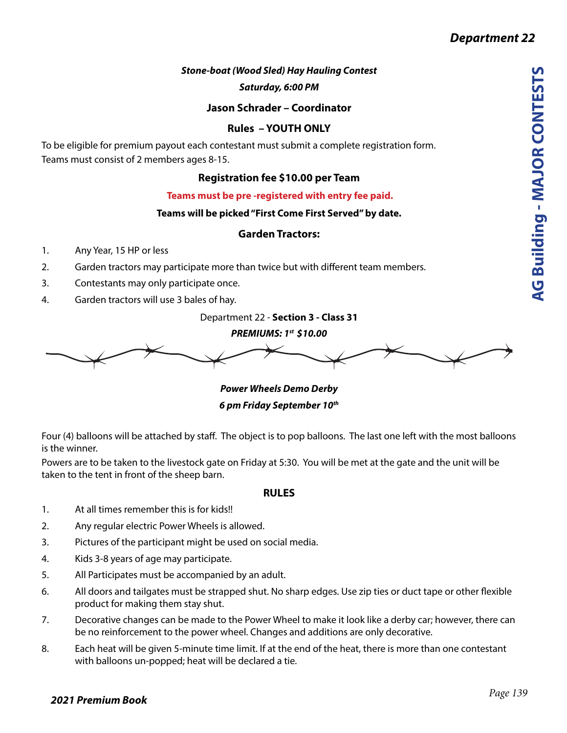## *Stone-boat (Wood Sled) Hay Hauling Contest*

*Saturday, 6:00 PM*

**Jason Schrader – Coordinator**

#### **Rules – YOUTH ONLY**

To be eligible for premium payout each contestant must submit a complete registration form. Teams must consist of 2 members ages 8-15.

## **Registration fee \$10.00 per Team**

 **Teams must be pre -registered with entry fee paid.**

#### **Teams will be picked "First Come First Served" by date.**

#### **Garden Tractors:**

- 1. Any Year, 15 HP or less
- 2. Garden tractors may participate more than twice but with different team members.
- 3. Contestants may only participate once.
- 4. Garden tractors will use 3 bales of hay.

Department 22 - **Section 3 - Class 31**

*PREMIUMS: 1st \$10.00*

*Power Wheels Demo Derby 6 pm Friday September 10th*

Four (4) balloons will be attached by staff. The object is to pop balloons. The last one left with the most balloons is the winner.

Powers are to be taken to the livestock gate on Friday at 5:30. You will be met at the gate and the unit will be taken to the tent in front of the sheep barn.

#### **RULES**

- 1. At all times remember this is for kids!!
- 2. Any regular electric Power Wheels is allowed.
- 3. Pictures of the participant might be used on social media.
- 4. Kids 3-8 years of age may participate.
- 5. All Participates must be accompanied by an adult.
- 6. All doors and tailgates must be strapped shut. No sharp edges. Use zip ties or duct tape or other flexible product for making them stay shut.
- 7. Decorative changes can be made to the Power Wheel to make it look like a derby car; however, there can be no reinforcement to the power wheel. Changes and additions are only decorative.
- 8. Each heat will be given 5-minute time limit. If at the end of the heat, there is more than one contestant with balloons un-popped; heat will be declared a tie.